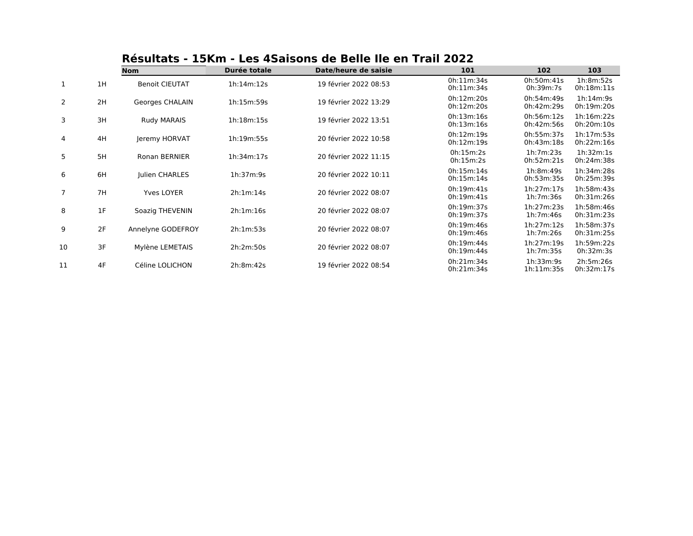|                |    | .<br>PUNU NU UN TIUN EVEE |              |                       |                          |                          |                          |
|----------------|----|---------------------------|--------------|-----------------------|--------------------------|--------------------------|--------------------------|
|                |    | <b>Nom</b>                | Durée totale | Date/heure de saisie  | 101                      | 102                      | 103                      |
| 1              | 1H | <b>Benoit CIEUTAT</b>     | 1h:14m:12s   | 19 février 2022 08:53 | 0h:11m:34s<br>0h:11m:34s | 0h:50m:41s<br>0h:39m:7s  | 1h:8m:52s<br>0h:18m:11s  |
| $\overline{2}$ | 2H | Georges CHALAIN           | 1h:15m:59s   | 19 février 2022 13:29 | 0h:12m:20s<br>0h:12m:20s | 0h:54m:49s<br>0h:42m:29s | 1h:14m:9s<br>0h:19m:20s  |
| 3              | 3H | <b>Rudy MARAIS</b>        | 1h:18m:15s   | 19 février 2022 13:51 | 0h:13m:16s<br>0h:13m:16s | 0h:56m:12s<br>0h:42m:56s | 1h:16m:22s<br>0h:20m:10s |
| 4              | 4H | Jeremy HORVAT             | 1h:19m:55s   | 20 février 2022 10:58 | 0h:12m:19s<br>0h:12m:19s | 0h:55m:37s<br>0h:43m:18s | 1h:17m:53s<br>0h:22m:16s |
| 5              | 5H | <b>Ronan BERNIER</b>      | 1h:34m:17s   | 20 février 2022 11:15 | 0h:15m:2s<br>0h:15m:2s   | 1h:7m:23s<br>0h:52m:21s  | 1h:32m:1s<br>0h:24m:38s  |
| 6              | 6H | Julien CHARLES            | 1h:37m:9s    | 20 février 2022 10:11 | 0h:15m:14s<br>0h:15m:14s | 1h:8m:49s<br>0h:53m:35s  | 1h:34m:28s<br>0h:25m:39s |
| 7              | 7H | <b>Yves LOYER</b>         | 2h:1m:14s    | 20 février 2022 08:07 | 0h:19m:41s<br>0h:19m:41s | 1h:27m:17s<br>1h:7m:36s  | 1h:58m:43s<br>0h:31m:26s |
| 8              | 1F | Soazig THEVENIN           | 2h:1m:16s    | 20 février 2022 08:07 | 0h:19m:37s<br>0h:19m:37s | 1h:27m:23s<br>1h:7m:46s  | 1h:58m:46s<br>0h:31m:23s |
| 9              | 2F | Annelyne GODEFROY         | 2h:1m:53s    | 20 février 2022 08:07 | 0h:19m:46s<br>0h:19m:46s | 1h:27m:12s<br>1h:7m:26s  | 1h:58m:37s<br>0h:31m:25s |
| 10             | 3F | Mylène LEMETAIS           | 2h:2m:50s    | 20 février 2022 08:07 | 0h:19m:44s<br>0h:19m:44s | 1h:27m:19s<br>1h:7m:35s  | 1h:59m:22s<br>0h:32m:3s  |
| 11             | 4F | Céline LOLICHON           | 2h:8m:42s    | 19 février 2022 08:54 | 0h:21m:34s<br>0h:21m:34s | 1h:33m:9s<br>1h:11m:35s  | 2h:5m:26s<br>0h:32m:17s  |

## **Résultats - 15Km - Les 4Saisons de Belle Ile en Trail 2022**